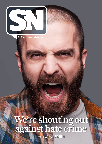

Staff Newsletter **October 2016**

# We're shouting out against hate crime

Full story on **PAGE 4**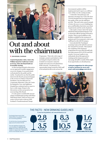

# Out and about with the chairman

**JOHN BROWN, CHAIRMAN**

I started September with a visit to the William Quarrier Conference Centre in Govan, where the Board held our bi-monthly meeting.

As this meeting included a discussion on our approach to public engagement on service changes, it was particularly well attended by the public and the media. I'm pleased to say that the public interest in the Board's proposed changes to the services we deliver at the RAH Paediatric Unit, the IRH and VoL Community Maternity Units, the Centre for Integrative Care, and Lightburn Hospital has continued and we expect to have a wide range of input to the discussions on these proposals at our next meeting of the Board.

I've also spent a considerable amount of time in Edinburgh meeting with fellow NHS Board chairs, chief executives and senior civil servants to discuss NHS Scotland's Transformational Change

Programme. This is the wide range of strategies, projects and initiatives that are being developed to deliver the Scottish Government's vision for health and social care in Scotland from 2020 onwards. I'm pleased to see opportunities being created for NHS staff to be included in this work on how the

Government's policies will be implemented and I expect you will hear more of this over the coming months.

I visited the Chemotherapy and Haemato-Oncology Day Unit at the New Victoria Hospital and was impressed by the quality of the care the staff there provide. This unit is also a good example of where the move to a new building has given staff facilities that better meet their requirements and the needs of patients.

I also made a return visit to the Queen Elizabeth National Spinal Injuries Unit to attend the official opening of Horatio's Garden. This is a great addition to the facilities available for the treatment of patients and I'd recommend a visit to any staff based on the QEUH campus.

I next attended the Teaching & Learning Centre at the QEUH to present the Annual SVQ Awards. This marked the completion of development programmes for more than 114 staff with the achievement of SVQ, ECDL and ILM awards. Everyone I spoke to was enthusiastic about this approach to training and development and I'd encourage all staff to consider if this might be an opportunity you should pursue.

**I welcome suggestions for other groups of staff or locations for me to visit; email: staff.comms@ggc.scot.nhs.uk**



### THE FACTS - NEW DRINKING GUIDELINES To view the full guidelines, visit: www.drinkaware.co.uk

The Scottish Government's Chief Medical Officer has published revised low-risk drinking guidelines.

For the first time, the same guidelines apply across the whole of the UK.

The most significant change is the recommendation for both men and women not to drink more than 14 units a week on a regular basis. Previously the limit for men had been set at 21.

## **UNITS IN A 250ML GLASS OF WINE**  $2.8$ 11% ABV 3.5 14% ABV



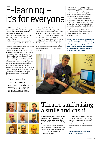# E-learning – it's for everyone

In NHS Greater Glasgow and Clyde, we want every member of staff to have equal access to relevant and timely learning, education and development.

Learning is for everyone, so our learning opportunities have to be inclusive and accessible for all.

Online and computer e-learning can be accessed at any time of the day via the internet from work-based IT devices or personal computers, tablets or mobile phones, allowing staff to study at their own pace.

One example of e-learning in NHSGGC is the activity supported by LearnPro, an online learning platform which contains a large volume of e-learning modules used by staff.

Here you'll find a wide range of learning opportunities including fire training, induction, child protection, adult support and protection and professional development modules on time management, project management, report writing, basic IT training and specialist subjects such as gender-based violence and information sharing. All of these modules can support personal development activity.

"Learning is for everyone so our learning opportunities have to be inclusive and accessible for all"

The majority of modules have an assessment set and once successfully completed the student may access a certificate which can be used for PDP or revalidation purposes.

Staff also have the choice of dipping in and out of modules for bite-size learning.

A specialist e-learning team exists to develop and deliver relevant online and computer based learning opportunities for all staff.

New customised courses are developed regularly using the expertise of professional colleagues within NHS Greater Glasgow and Clyde.

One of the experts who turned to the e-learning team was Alison Flynn, freedom of information (FOI) manager.

She worked with an e-learning advisor to create a module to reach as many staff as possible for this mandatory training.

She explained: "We decided that an e-learning module would be the most efficient and effective vehicle to achieve this because we don't have the resources to hold face-toface training and staff can find it difficult to arrange time to attend classes."

Alison summed up: "This is a terrific way of maximising the number of people you can reach and make the best use of resources available."

**For more information about registration and e-learning courses, go to the HRConnect pages on our website at www.nhsggc.org.uk Alternatively, to find out if e-learning might be the right approach for delivering your training course, contact the team at LE.Support@ggc.scot.nhs.uk**





## Theatre staff raising a smile and cash!

Consultants and trainee anaesthetists and theatre staff at Glasgow Royal Infirmary are sporting funky theatre caps to raise funds for medical charity Lifebox.

The "Hats for Sats" fundraiser has already amassed a whopping £645 to go towards the charity's aim of reducing unsafe surgery and anaesthesia in developing countries.

The hats were generously provided by company The Caduce Collection and sold by theatre and recovery staff to colleagues.

Pictured are some of the anaesthetic team in their eye-catching fundraising hats.

**For more information about Lifebox, visit: www.lifebox.org**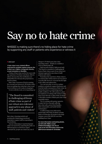# Say no to hate crime

NHSGGC is making sure there's no hiding place for hate crime by supporting any staff or patients who experience or witness it

#### **SPOTLIGHT**

A hate crime is any criminal offence motivated by prejudice against someone due to their race, religion, transgender identity, sexual orientation or disability.

Victims of hate crime can live for years with the experience of violence and abuse, often in silence, because they fear retribution, not being believed or because the perpetrator is known to them.

Hate Crime Awareness Week is running for a second year between 8–15 October with a focus on making clear what hate crime is and how we all have a role to play in stopping it.

To tie in with the week, we're launching our

"The Board is committed to challenging all forms of hate crime as part of our robust zero tolerance approach to any abuse of staff, patients and visitors"

hate crime e-learning module and prominently displaying promotional materials to support staff in responding to hate incidents.

Anyone witnessing or experiencing hate crime can report it by contacting the police on 999 (emergency) or 101 if non-urgent. Alternatively, people can contact any one of

Glasgow's 70 third-party hate crime reporting centres – details are available at www.scotland.police.uk

Chief executive Robert Calderwood said: "The Board is committed to challenging all forms of hate crime as part of our robust zero tolerance approach to any abuse of staff, patients and visitors.

"Sometimes the experience of hate crime is so common that victims start to see it as part of everyday life; however, everyone has the right to live safely and without fear.

"As a care provider, we are in a unique position to sensitively support disclosure and treat the health consequences of hate crime, be that broken bones or underlying mental health conditions. We will continue to place an emphasis on working with victims to help them report directly to either Police Scotland or through a number of third-party hate crime reporting centres.

"We're working with partner agencies to make the lives of people suffering hate crime safer, protect their families, their communities, and tackle further victimisation."

A staff learning event, delivered in partnership with Police Scotland, is being held on Wednesday 12 October in the large seminar room of the QEUH's new labs building from 1-3pm.

**For more information and booking details, tel: 0141 201 4560 or email: CITAdminTeam@ggc.scot.nhs.uk. Look out for the information stand in the QEUH atrium between 8-15 October.**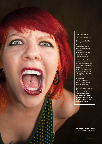## Safe at work

All our staff have the right to:

- $\bullet$  work in safe, healthy conditions
- $\bullet$  not be threatened, harassed or bullied
- $\bullet$  not be discriminated against
- $\bullet$  complain about poor treatment without being victimised.

We all have the right to freedom of expression, but this does not extend to the protection of speech that discriminates against, harasses or incites violence or hatred against others.

If you have worries about any of these issues, you can discuss them with your line manager.

If you are a union member, speak to your union representative.

**If you believe you are being discriminated against or bullied at work, please contact the HR Advice and Support Unit, email: HR.Support@ggc.scot.nhs. uk or tel: 0141 278 2700, between 8am-6pm.**

Hate crime is unacceptable and will not be tolerated in our workplace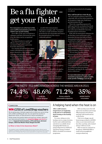# Be a flu fighter get your flu jab!

#### Peer immunisers are at the heart of this year's staff flu immunisation programme, which is now up and running.

Peers offer on-the-spot vaccinations to colleagues and their role boosts the series of on-site clinics run by occupational health nurses.

Peer immunisation is a quick and effective way to get teams of staff vaccinated without time spent away from their clinical areas.

It is vital that all staff who have direct contact with patients be vaccinated to protect themselves, their families, colleagues and patients from this serious and sometimes fatal virus.

Even if you experience very mild symptoms, the virus can still be transmitted to very ill patients with potentially grave consequences.

People with chronic disease are extremely vulnerable, for example, those with chronic liver disease are 83 times at higher risk of contracting flu compared to a healthy person.

It is also crucial for pregnant women to be vaccinated to protect themselves and their baby.

Jennifer Reid, immunisation programme manager, said: "Vaccination only takes a couple of minutes, but gives protection for up to 12 months and reduces the potential spread of the virus to vulnerable patients."



Whether attending a mass clinic or being vaccinated through peer immunisation, staff are asked to register online beforehand.

The form and full staff flu vaccination timetable can be found on our website: www.nhsggc.org.uk/staffflu

Staff wishing to run a peer immunisation session should contact

Agata Janicka, project administrator,

email: peerimmunisationbooking@ggc. scot.nhs.uk

#### Why staff should have their flu jag

"We are caring for patients at their most vulnerable, they are the sickest patients in the hospital at a high risk of infections, and that includes the flu."

This is the compelling argument for staff to get their flu vaccination from Ruth McLaughlin, senior charge nurse, critical care at the Queen Elizabeth University Hospital and peer immuniser.

Ruth, left, has immunised colleagues for the last three years and became a peer immuniser because she believed that if immunisation took place on the ward, it would lead to a higher uptake.

She's also motivated because of her job in ITU: "Our patients are admitted for a range of serious conditions, affecting their lungs, hearts and kidneys, and we also admit emergency obstetric patients.

"We see many flu cases and its consequences; for these vulnerable patients, this can include organ failure."

She strongly believes that immunisation protects staff, their families and patients from getting the flu, and added: "Our patients are already compromised. We don't want them recovering from their procedures, discharged, catching the flu, and coming back to critical care."

**For more information about our staff vaccination programme, contact Jennifer, email: jennifer.reid2@ggc.scot.nhs.uk**

THE FACTS - FLU IMMUNISATION ACROSS THE NHSGGC AREA IN 2015 74.4% 48.6% 71.2% 35%

Over 65s

#### Under 65s in an at-risk group

Primary school flu immunisation programme NHSGGC Staff flu immunisation

#### COMPETITION

## **WIN** £250 of Love2Shop vouchers

We are giving away a fantastic opportunity to boost your purse strings with a £250 Love2Shop gift card. You can spend the vouchers in department stores, on food and drink or leisure and pleasure!

Simply answer the question below and email your answer, along with your name and work location, to: **competitions@ggc.scot.nhs.uk** or send to: **Corporate Communications, JB Russell House, Gartnavel Campus, 1055 Great Western Road, Glasgow G12 OXH.**

### **Q: When is Hate Crime Awareness Week?**

The competition is open to all NHSGGC employees. Only one entry per person. Winners must be available for a photograph, which may be printed with their details in future issues of SN. The closing date for entries is 31 October 2016. Prizes must be claimed within four weeks of the closing date.

## A helping hand when the heat is on

After a mild summer, temperatures are beginning to dip and we're all thinking about turning on the heating at home.

For some, taking on extra heating costs is a major decision, but free and confidential help and advice is available about managing bills thanks to a partnership between NHSGGC and Home Energy Scotland (HES), a Scottish Government programme.

HES can help source free loft and cavity insulation and energy efficient grants and schemes, and help with benefit and tax credit checks.

Visit www.nhsggc.org.uk/ homeenergyscotland to tell HES what you are interested in and how they can help, and a trained advisor will be in touch.

HES can also be contacted on freephone:0808 808 2282 or email: adviceteam@home energyscotland.org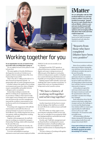

## Working together for you

In an organisation our size, it's hard to keep up to date with everything that's going on.

We are rightly focused on the patient or task in front of us.

The same applies to Dorothy McErlean as she began her new job on 1 October as our employee director and joint chair of the Area Partnership Forum (APF).

That's why she is "rolling up her sleeves" to drive forward an important agenda – in partnership with our senior management team – to further enhance the quality of our working environment and ensure the values of dignity, respect, sustainability and quality between colleagues and to our patients.

Partnership working is central to the effective working of our organisation, but it's not always visible to what extent it really is the engine room of change and co-operation, not only between the executive management team and the workforce representatives, but in all areas and levels of management within the Board.

Promoting early engagement with staff side representatives and staff when there are proposed changes to an area or service is the most effective way of delivering the best care to our patients, while providing better working conditions for our staff.

Together with management, the staff side reps are working on a module for managers – Partnership Working, which will be launched by the end of the year.

So what are the priorities for Dorothy, the APF and the Staff Governance Committee for the rest of 2016 and into 2017?

To review and publish an equal pay statement on men and women employed within NHSGGC in the next six months is one key objective.

Driving forward the FTFT agenda on cultural behaviours, treating everyone with dignity and respect, raising awareness of different parts of the dignity at work policy, which is to help promote a positive workplace, how to deal with disrespectful behaviour and hopefully prevent going into a formal process.

Helping support staff to identify, report and challenge hate crime is another top priority. To support this work, an e-learning module is being tested on the LearnPro system.

### "We have a history of working well together and achieving together"

Another important role has been to ensure that the findings of the Staff Survey in 2015 are used effectively to address issues and build on success.

The APF will be one of the engine rooms powering the reshaping of NHS services and they way we redesign services going into 2020 and shaping healthcare and health and social care for the next decade.

Dorothy said: "Staff side, management and the Board itself are working hard to ensure individual members of staff and staff groups are able to contribute meaningfully to the debates and discussions on shaping things for the future.

"We have a history of working well together and achieving together."

## Vlatter

We are all familiar with the NHS Scotland Staff Survey and what it aims to achieve. Last year, the Scottish Government "paused" the survey to give Boards time to roll out iMatter, which is a new and more locally focused staff engagement tool for capturing opinions and encouraging staff to talk about what works and what could be improved.

iMatter is a short questionnaire based on the Staff Governance Standards and only takes five minutes to complete .

### "Reports from those who have completed iMatter have been very positive"

Most of our workforce will have taken part in iMatter during this year and those of you who haven't will almost certainly take part in the next 12 months.

Reports from the directorates and teams who have completed iMatter have been very positive. It has given staff a more direct way of commenting on their local team, how well they work as a team and what needs to improve.

Action plans are agreed for each team which ensure that the improvements are made and the questionnaire is then run annually to monitor how things have changed.

Early indications show that the system works better online than on paper and now the challenge is to overcome this disadvantage. One solution will be to create more opportunities for staff without access to a PC to use "staff community" PCs located in easily accessible areas.

All Partnerships will adopt iMatter during 2017 following the encouraging results from early adopter Inverclyde HSCP.

#### **If you want to find out more about iMatter, go to StaffNet and visit the iMatter portal (it sits within the existing FTFT section).**